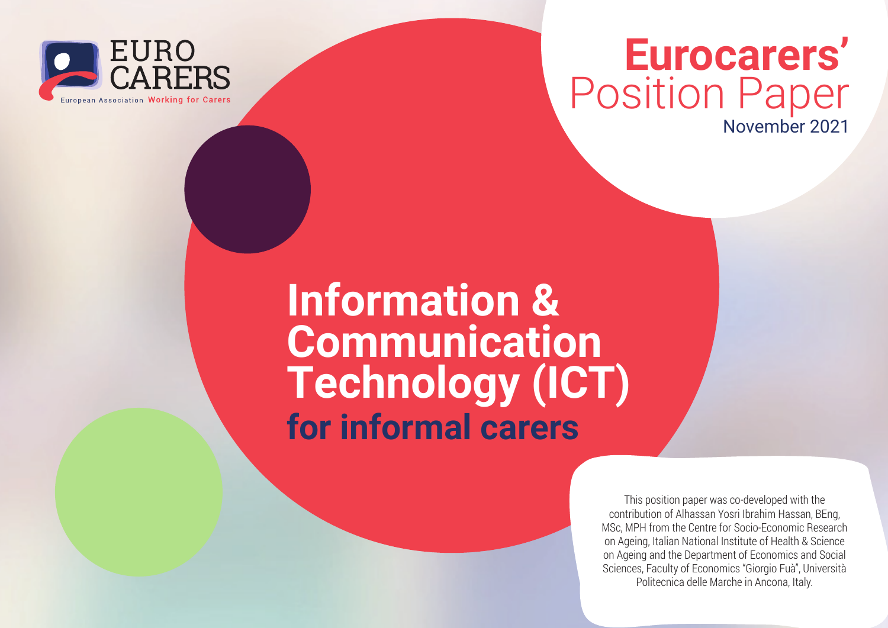

### **Eurocarers'** Position Paper

November 2021

### **Information & Communication Technology (ICT) for informal carers**

This position paper was co-developed with the contribution of Alhassan Yosri Ibrahim Hassan, BEng, MSc, MPH from the Centre for Socio-Economic Research on Ageing, Italian National Institute of Health & Science on Ageing and the Department of Economics and Social Sciences, Faculty of Economics "Giorgio Fuà", Università Politecnica delle Marche in Ancona, Italy.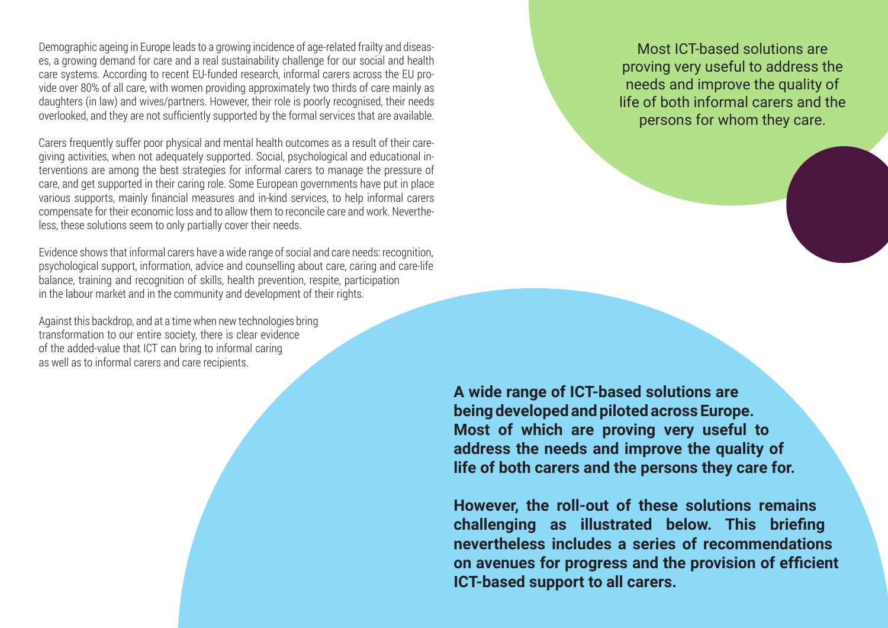Demographic ageing in Europe leads to a growing incidence of age-related frailty and diseases, a growing demand for care and a real sustainability challenge for our social and health care systems. According to recent EU-funded research, informal carers across the EU provide over 80% of all care, with women providing approximately two thirds of care mainly as daughters (in law) and wives/partners. However, their role is poorly recognised, their needs overlooked, and they are not sufficiently supported by the formal services that are available.

Carers frequently suffer poor physical and mental health outcomes as a result of their caregiving activities, when not adequately supported. Social, psychological and educational interventions are among the best strategies for informal carers to manage the pressure of care, and get supported in their caring role. Some European governments have put in place various supports, mainly financial measures and in-kind services, to help informal carers compensate for their economic loss and to allow them to reconcile care and work. Nevertheless, these solutions seem to only partially cover their needs.

Evidence shows that informal carers have a wide range of social and care needs: recognition, psychological support, information, advice and counselling about care, caring and care-life balance, training and recognition of skills, health prevention, respite, participation in the labour market and in the community and development of their rights.

Against this backdrop, and at a time when new technologies bring transformation to our entire society, there is clear evidence of the added-value that ICT can bring to informal caring as well as to informal carers and care recipients.

Most ICT-based solutions are proving very useful to address the needs and improve the quality of life of both informal carers and the persons for whom they care.

**A wide range of ICT-based solutions are being developed and piloted across Europe. Most of which are proving very useful to address the needs and improve the quality of life of both carers and the persons they care for.** 

**However, the roll-out of these solutions remains challenging as illustrated below. This briefing nevertheless includes a series of recommendations on avenues for progress and the provision of efficient ICT-based support to all carers.**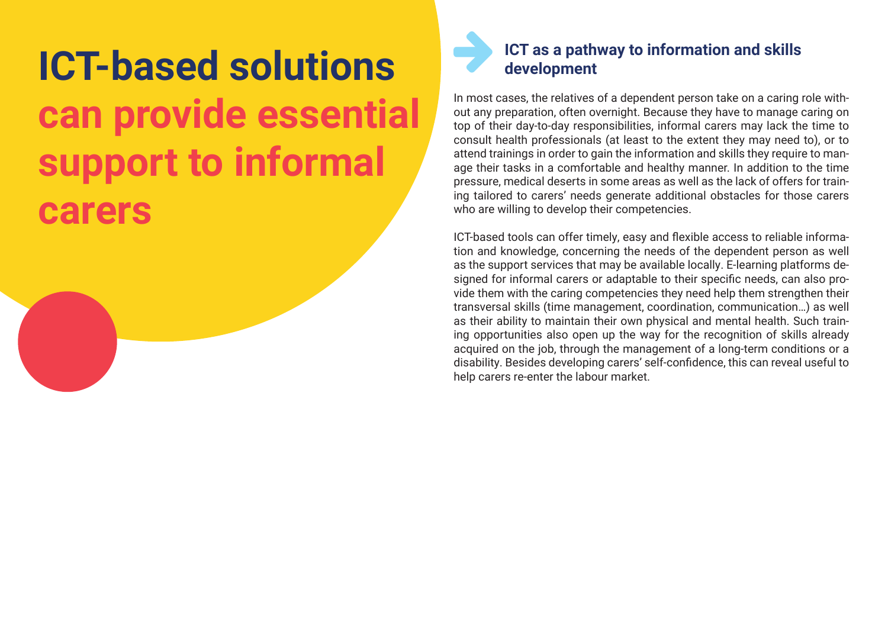## **ICT-based solutions can provide essential support to informal carers**



In most cases, the relatives of a dependent person take on a caring role without any preparation, often overnight. Because they have to manage caring on top of their day-to-day responsibilities, informal carers may lack the time to consult health professionals (at least to the extent they may need to), or to attend trainings in order to gain the information and skills they require to manage their tasks in a comfortable and healthy manner. In addition to the time pressure, medical deserts in some areas as well as the lack of offers for training tailored to carers' needs generate additional obstacles for those carers who are willing to develop their competencies.

ICT-based tools can offer timely, easy and flexible access to reliable information and knowledge, concerning the needs of the dependent person as well as the support services that may be available locally. E-learning platforms designed for informal carers or adaptable to their specific needs, can also provide them with the caring competencies they need help them strengthen their transversal skills (time management, coordination, communication…) as well as their ability to maintain their own physical and mental health. Such training opportunities also open up the way for the recognition of skills already acquired on the job, through the management of a long-term conditions or a disability. Besides developing carers' self-confidence, this can reveal useful to help carers re-enter the labour market.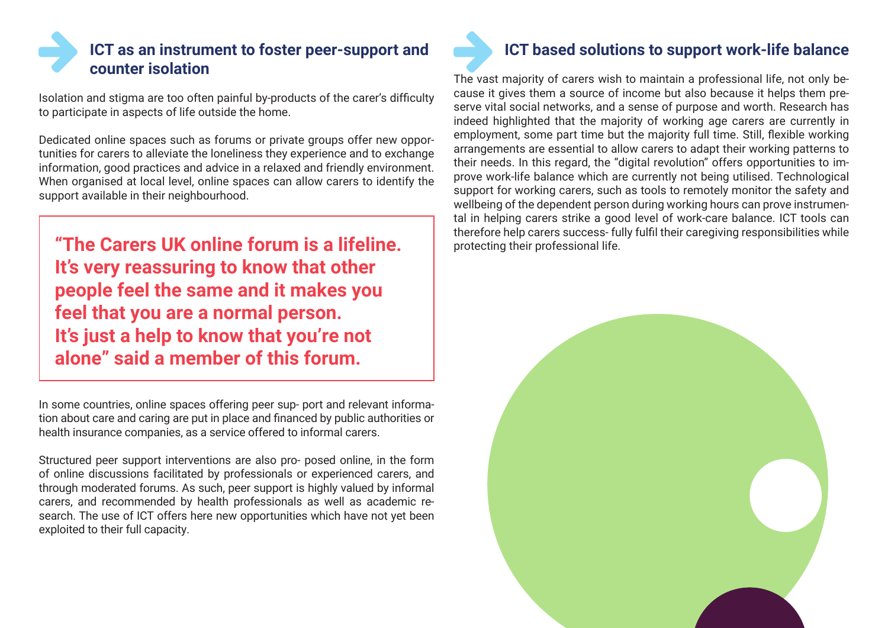### **ICT as an instrument to foster peer-support and counter isolation**

Isolation and stigma are too often painful by-products of the carer's difficulty to participate in aspects of life outside the home.

Dedicated online spaces such as forums or private groups offer new opportunities for carers to alleviate the loneliness they experience and to exchange information, good practices and advice in a relaxed and friendly environment. When organised at local level, online spaces can allow carers to identify the support available in their neighbourhood.

**"The Carers UK online forum is a lifeline.** Protecting their professional life. **It's very reassuring to know that other people feel the same and it makes you feel that you are a normal person. It's just a help to know that you're not alone" said a member of this forum.**

In some countries, online spaces offering peer sup- port and relevant information about care and caring are put in place and financed by public authorities or health insurance companies, as a service offered to informal carers.

Structured peer support interventions are also pro- posed online, in the form of online discussions facilitated by professionals or experienced carers, and through moderated forums. As such, peer support is highly valued by informal carers, and recommended by health professionals as well as academic research. The use of ICT offers here new opportunities which have not yet been exploited to their full capacity.

### **ICT based solutions to support work-life balance**

The vast majority of carers wish to maintain a professional life, not only because it gives them a source of income but also because it helps them preserve vital social networks, and a sense of purpose and worth. Research has indeed highlighted that the majority of working age carers are currently in employment, some part time but the majority full time. Still, flexible working arrangements are essential to allow carers to adapt their working patterns to their needs. In this regard, the "digital revolution" offers opportunities to improve work-life balance which are currently not being utilised. Technological support for working carers, such as tools to remotely monitor the safety and wellbeing of the dependent person during working hours can prove instrumental in helping carers strike a good level of work-care balance. ICT tools can therefore help carers success- fully fulfil their caregiving responsibilities while

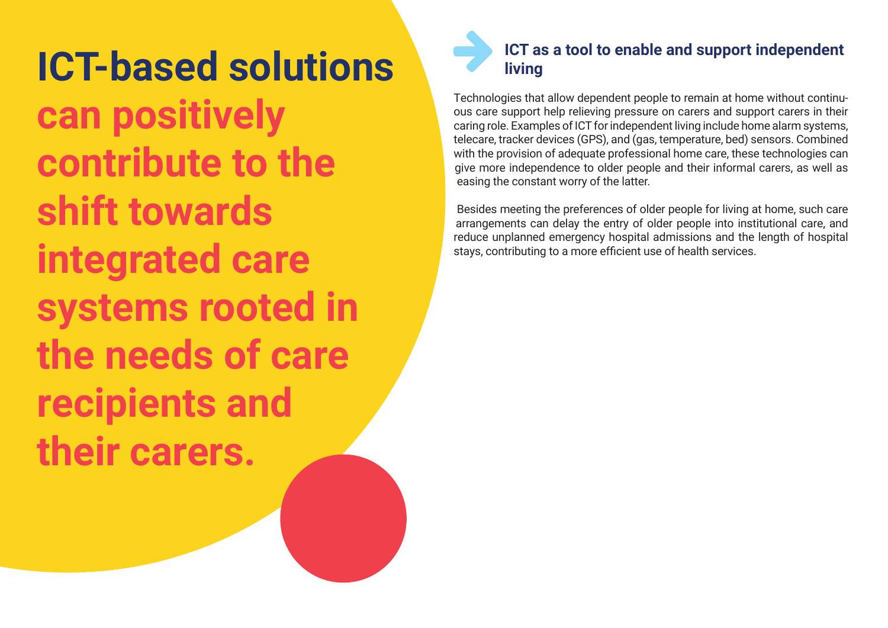**ICT-based solutions can positively contribute to the shift towards integrated care systems rooted in the needs of care recipients and their carers.**

### **ICT as a tool to enable and support independent living**

Technologies that allow dependent people to remain at home without continuous care support help relieving pressure on carers and support carers in their caring role. Examples of ICT for independent living include home alarm systems, telecare, tracker devices (GPS), and (gas, temperature, bed) sensors. Combined with the provision of adequate professional home care, these technologies can give more independence to older people and their informal carers, as well as easing the constant worry of the latter.

Besides meeting the preferences of older people for living at home, such care arrangements can delay the entry of older people into institutional care, and reduce unplanned emergency hospital admissions and the length of hospital stays, contributing to a more efficient use of health services.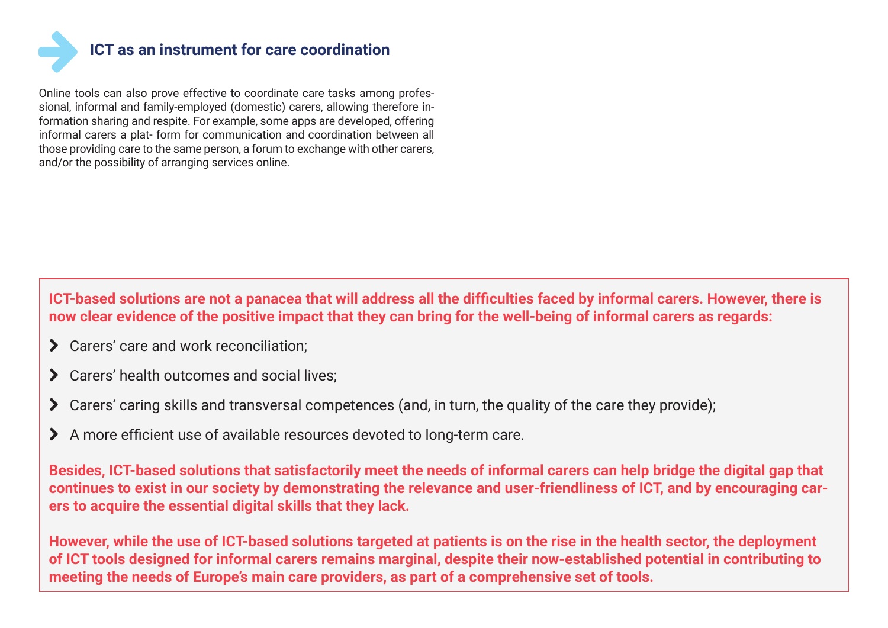

Online tools can also prove effective to coordinate care tasks among professional, informal and family-employed (domestic) carers, allowing therefore information sharing and respite. For example, some apps are developed, offering informal carers a plat- form for communication and coordination between all those providing care to the same person, a forum to exchange with other carers, and/or the possibility of arranging services online.

**ICT-based solutions are not a panacea that will address all the difficulties faced by informal carers. However, there is now clear evidence of the positive impact that they can bring for the well-being of informal carers as regards:**

- > Carers' care and work reconciliation:
- > Carers' health outcomes and social lives;
- ◆ Carers' caring skills and transversal competences (and, in turn, the quality of the care they provide);
- > A more efficient use of available resources devoted to long-term care.

**Besides, ICT-based solutions that satisfactorily meet the needs of informal carers can help bridge the digital gap that continues to exist in our society by demonstrating the relevance and user-friendliness of ICT, and by encouraging carers to acquire the essential digital skills that they lack.**

**However, while the use of ICT-based solutions targeted at patients is on the rise in the health sector, the deployment of ICT tools designed for informal carers remains marginal, despite their now-established potential in contributing to meeting the needs of Europe's main care providers, as part of a comprehensive set of tools.**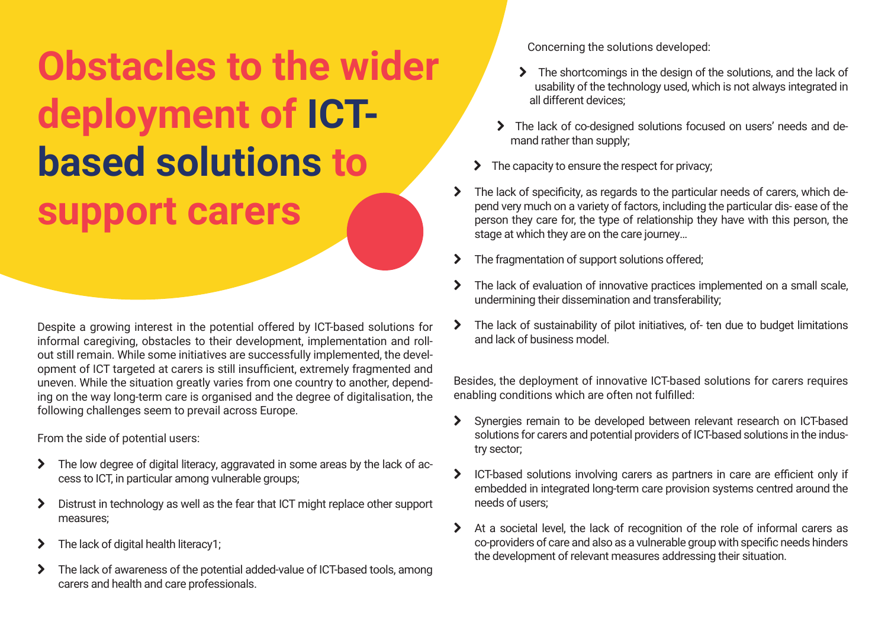# **Obstacles to the wider deployment of ICTbased solutions to support carers**

Despite a growing interest in the potential offered by ICT-based solutions for informal caregiving, obstacles to their development, implementation and rollout still remain. While some initiatives are successfully implemented, the development of ICT targeted at carers is still insufficient, extremely fragmented and uneven. While the situation greatly varies from one country to another, depending on the way long-term care is organised and the degree of digitalisation, the following challenges seem to prevail across Europe.

From the side of potential users:

- > The low degree of digital literacy, aggravated in some areas by the lack of access to ICT, in particular among vulnerable groups;
- > Distrust in technology as well as the fear that ICT might replace other support measures;
- $\blacktriangleright$  The lack of digital health literacy1;
- > The lack of awareness of the potential added-value of ICT-based tools, among carers and health and care professionals.

Concerning the solutions developed:

- The shortcomings in the design of the solutions, and the lack of usability of the technology used, which is not always integrated in all different devices;
- The lack of co-designed solutions focused on users' needs and demand rather than supply;
- The capacity to ensure the respect for privacy;
- $\blacktriangleright$ The lack of specificity, as regards to the particular needs of carers, which depend very much on a variety of factors, including the particular dis- ease of the person they care for, the type of relationship they have with this person, the stage at which they are on the care journey…
- > The fragmentation of support solutions offered;
- > The lack of evaluation of innovative practices implemented on a small scale, undermining their dissemination and transferability;
- > The lack of sustainability of pilot initiatives, of- ten due to budget limitations and lack of business model.

Besides, the deployment of innovative ICT-based solutions for carers requires enabling conditions which are often not fulfilled:

- ¦ Synergies remain to be developed between relevant research on ICT-based solutions for carers and potential providers of ICT-based solutions in the industry sector;
- > ICT-based solutions involving carers as partners in care are efficient only if embedded in integrated long-term care provision systems centred around the needs of users;
- > At a societal level, the lack of recognition of the role of informal carers as co-providers of care and also as a vulnerable group with specific needs hinders the development of relevant measures addressing their situation.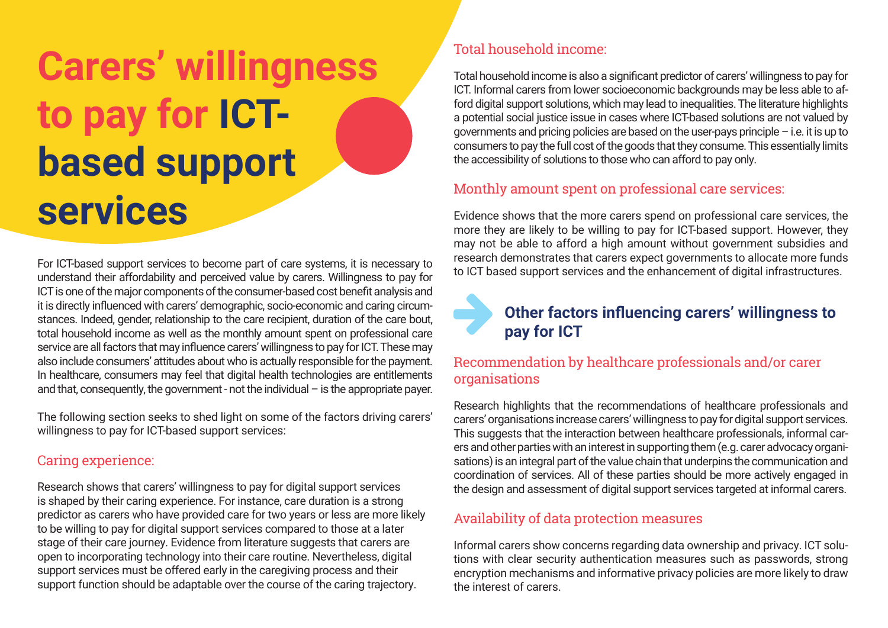# **Carers' willingness to pay for ICTbased support services**

For ICT-based support services to become part of care systems, it is necessary to understand their affordability and perceived value by carers. Willingness to pay for ICT is one of the major components of the consumer-based cost benefit analysis and it is directly influenced with carers' demographic, socio-economic and caring circumstances. Indeed, gender, relationship to the care recipient, duration of the care bout, total household income as well as the monthly amount spent on professional care service are all factors that may influence carers' willingness to pay for ICT. These may also include consumers' attitudes about who is actually responsible for the payment. In healthcare, consumers may feel that digital health technologies are entitlements and that, consequently, the government - not the individual – is the appropriate payer.

The following section seeks to shed light on some of the factors driving carers' willingness to pay for ICT-based support services:

#### Caring experience:

Research shows that carers' willingness to pay for digital support services is shaped by their caring experience. For instance, care duration is a strong predictor as carers who have provided care for two years or less are more likely to be willing to pay for digital support services compared to those at a later stage of their care journey. Evidence from literature suggests that carers are open to incorporating technology into their care routine. Nevertheless, digital support services must be offered early in the caregiving process and their support function should be adaptable over the course of the caring trajectory.

#### Total household income:

Total household income is also a significant predictor of carers' willingness to pay for ICT. Informal carers from lower socioeconomic backgrounds may be less able to afford digital support solutions, which may lead to inequalities. The literature highlights a potential social justice issue in cases where ICT-based solutions are not valued by governments and pricing policies are based on the user-pays principle – i.e. it is up to consumers to pay the full cost of the goods that they consume. This essentially limits the accessibility of solutions to those who can afford to pay only.

#### Monthly amount spent on professional care services:

Evidence shows that the more carers spend on professional care services, the more they are likely to be willing to pay for ICT-based support. However, they may not be able to afford a high amount without government subsidies and research demonstrates that carers expect governments to allocate more funds to ICT based support services and the enhancement of digital infrastructures.

### Other factors influencing carers' willingness to **pay for ICT**

#### Recommendation by healthcare professionals and/or carer organisations

Research highlights that the recommendations of healthcare professionals and carers' organisations increase carers' willingness to pay for digital support services. This suggests that the interaction between healthcare professionals, informal carers and other parties with an interest in supporting them (e.g. carer advocacy organisations) is an integral part of the value chain that underpins the communication and coordination of services. All of these parties should be more actively engaged in the design and assessment of digital support services targeted at informal carers.

#### Availability of data protection measures

Informal carers show concerns regarding data ownership and privacy. ICT solutions with clear security authentication measures such as passwords, strong encryption mechanisms and informative privacy policies are more likely to draw the interest of carers.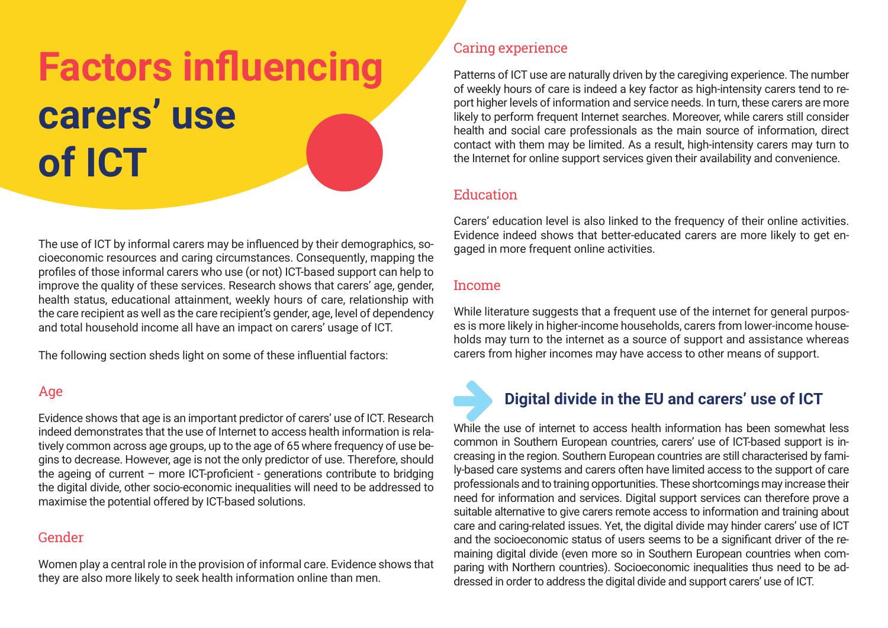# **Factors influencing carers' use of ICT**

The use of ICT by informal carers may be influenced by their demographics, socioeconomic resources and caring circumstances. Consequently, mapping the profiles of those informal carers who use (or not) ICT-based support can help to improve the quality of these services. Research shows that carers' age, gender, health status, educational attainment, weekly hours of care, relationship with the care recipient as well as the care recipient's gender, age, level of dependency and total household income all have an impact on carers' usage of ICT.

The following section sheds light on some of these influential factors:

#### Age

Evidence shows that age is an important predictor of carers' use of ICT. Research indeed demonstrates that the use of Internet to access health information is relatively common across age groups, up to the age of 65 where frequency of use begins to decrease. However, age is not the only predictor of use. Therefore, should the ageing of current – more ICT-proficient - generations contribute to bridging the digital divide, other socio-economic inequalities will need to be addressed to maximise the potential offered by ICT-based solutions.

#### Gender

Women play a central role in the provision of informal care. Evidence shows that they are also more likely to seek health information online than men.

#### Caring experience

Patterns of ICT use are naturally driven by the caregiving experience. The number of weekly hours of care is indeed a key factor as high-intensity carers tend to report higher levels of information and service needs. In turn, these carers are more likely to perform frequent Internet searches. Moreover, while carers still consider health and social care professionals as the main source of information, direct contact with them may be limited. As a result, high-intensity carers may turn to the Internet for online support services given their availability and convenience.

#### Education

Carers' education level is also linked to the frequency of their online activities. Evidence indeed shows that better-educated carers are more likely to get engaged in more frequent online activities.

#### Income

While literature suggests that a frequent use of the internet for general purposes is more likely in higher-income households, carers from lower-income households may turn to the internet as a source of support and assistance whereas carers from higher incomes may have access to other means of support.



#### **Digital divide in the EU and carers' use of ICT**

While the use of internet to access health information has been somewhat less common in Southern European countries, carers' use of ICT-based support is increasing in the region. Southern European countries are still characterised by family-based care systems and carers often have limited access to the support of care professionals and to training opportunities. These shortcomings may increase their need for information and services. Digital support services can therefore prove a suitable alternative to give carers remote access to information and training about care and caring-related issues. Yet, the digital divide may hinder carers' use of ICT and the socioeconomic status of users seems to be a significant driver of the remaining digital divide (even more so in Southern European countries when comparing with Northern countries). Socioeconomic inequalities thus need to be addressed in order to address the digital divide and support carers' use of ICT.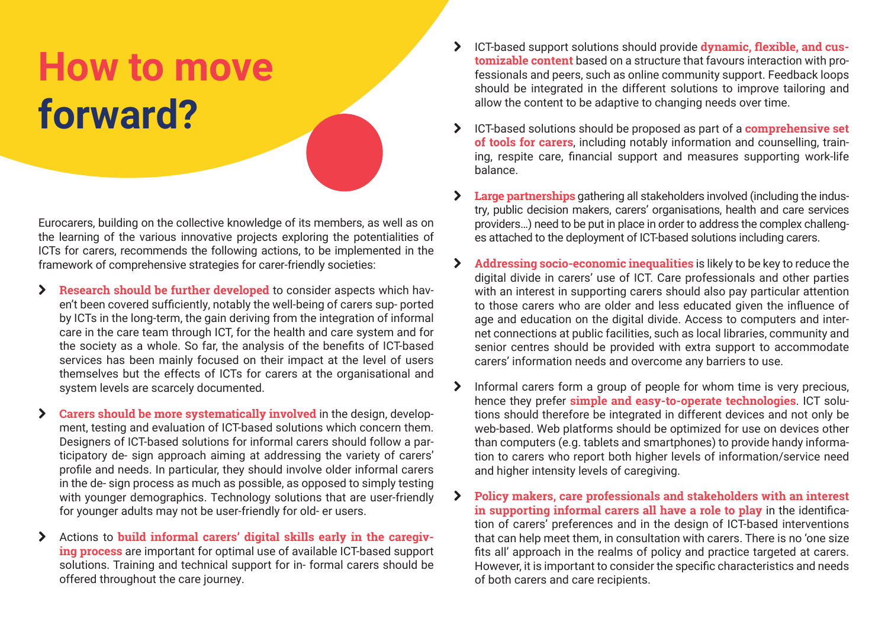### **How to move forward?**

Eurocarers, building on the collective knowledge of its members, as well as on the learning of the various innovative projects exploring the potentialities of ICTs for carers, recommends the following actions, to be implemented in the framework of comprehensive strategies for carer-friendly societies:

- > **Research should be further developed** to consider aspects which haven't been covered sufficiently, notably the well-being of carers sup- ported by ICTs in the long-term, the gain deriving from the integration of informal care in the care team through ICT, for the health and care system and for the society as a whole. So far, the analysis of the benefits of ICT-based services has been mainly focused on their impact at the level of users themselves but the effects of ICTs for carers at the organisational and system levels are scarcely documented.
- $\sum$  **Carers should be more systematically involved** in the design, development, testing and evaluation of ICT-based solutions which concern them. Designers of ICT-based solutions for informal carers should follow a participatory de- sign approach aiming at addressing the variety of carers' profile and needs. In particular, they should involve older informal carers in the de- sign process as much as possible, as opposed to simply testing with younger demographics. Technology solutions that are user-friendly for younger adults may not be user-friendly for old- er users.
- > Actions to **build informal carers' digital skills early in the caregiving process** are important for optimal use of available ICT-based support solutions. Training and technical support for in- formal carers should be offered throughout the care journey.
- ¦ ICT-based support solutions should provide **dynamic, flexible, and customizable content** based on a structure that favours interaction with professionals and peers, such as online community support. Feedback loops should be integrated in the different solutions to improve tailoring and allow the content to be adaptive to changing needs over time.
- ¦ ICT-based solutions should be proposed as part of a **comprehensive set of tools for carers**, including notably information and counselling, training, respite care, financial support and measures supporting work-life balance.
- ¦ **Large partnerships** gathering all stakeholders involved (including the industry, public decision makers, carers' organisations, health and care services providers…) need to be put in place in order to address the complex challenges attached to the deployment of ICT-based solutions including carers.
- $\blacktriangleright$  **Addressing socio-economic inequalities** is likely to be key to reduce the digital divide in carers' use of ICT. Care professionals and other parties with an interest in supporting carers should also pay particular attention to those carers who are older and less educated given the influence of age and education on the digital divide. Access to computers and internet connections at public facilities, such as local libraries, community and senior centres should be provided with extra support to accommodate carers' information needs and overcome any barriers to use.
- > Informal carers form a group of people for whom time is very precious, hence they prefer **simple and easy-to-operate technologies**. ICT solutions should therefore be integrated in different devices and not only be web-based. Web platforms should be optimized for use on devices other than computers (e.g. tablets and smartphones) to provide handy information to carers who report both higher levels of information/service need and higher intensity levels of caregiving.
- ¦ **Policy makers, care professionals and stakeholders with an interest in supporting informal carers all have a role to play** in the identification of carers' preferences and in the design of ICT-based interventions that can help meet them, in consultation with carers. There is no 'one size fits all' approach in the realms of policy and practice targeted at carers. However, it is important to consider the specific characteristics and needs of both carers and care recipients.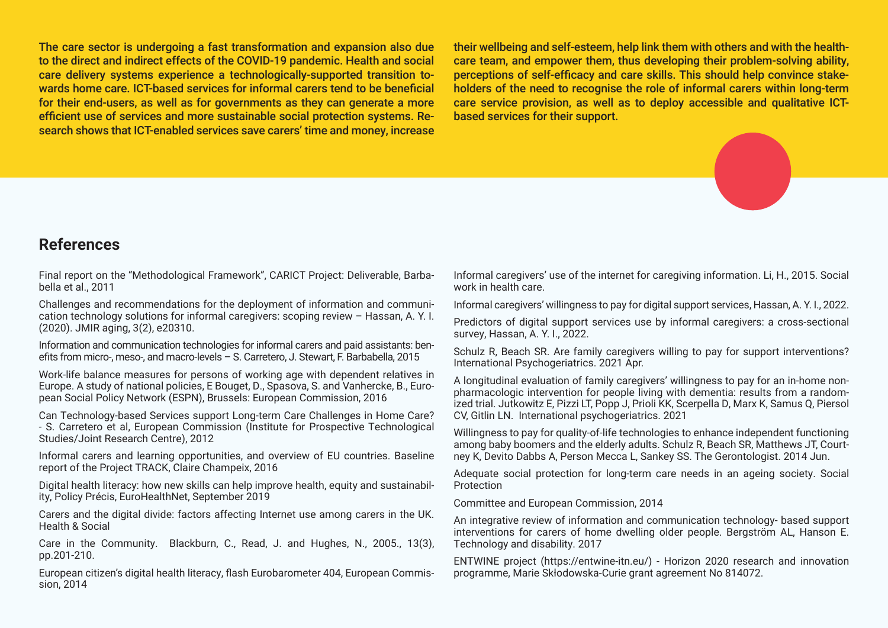The care sector is undergoing a fast transformation and expansion also due to the direct and indirect effects of the COVID-19 pandemic. Health and social care delivery systems experience a technologically-supported transition towards home care. ICT-based services for informal carers tend to be beneficial for their end-users, as well as for governments as they can generate a more efficient use of services and more sustainable social protection systems. Research shows that ICT-enabled services save carers' time and money, increase their wellbeing and self-esteem, help link them with others and with the healthcare team, and empower them, thus developing their problem-solving ability, perceptions of self-efficacy and care skills. This should help convince stakeholders of the need to recognise the role of informal carers within long-term care service provision, as well as to deploy accessible and qualitative ICTbased services for their support.



#### **References**

Final report on the ''Methodological Framework'', CARICT Project: Deliverable, Barbabella et al., 2011

Challenges and recommendations for the deployment of information and communication technology solutions for informal caregivers: scoping review – Hassan, A. Y. I. (2020). JMIR aging, 3(2), e20310.

Information and communication technologies for informal carers and paid assistants: benefits from micro-, meso-, and macro-levels – S. Carretero, J. Stewart, F. Barbabella, 2015

Work-life balance measures for persons of working age with dependent relatives in Europe. A study of national policies, E Bouget, D., Spasova, S. and Vanhercke, B., European Social Policy Network (ESPN), Brussels: European Commission, 2016

Can Technology-based Services support Long-term Care Challenges in Home Care? - S. Carretero et al, European Commission (Institute for Prospective Technological Studies/Joint Research Centre), 2012

Informal carers and learning opportunities, and overview of EU countries. Baseline report of the Project TRACK, Claire Champeix, 2016

Digital health literacy: how new skills can help improve health, equity and sustainability, Policy Précis, EuroHealthNet, September 2019

Carers and the digital divide: factors affecting Internet use among carers in the UK. Health & Social

Care in the Community. Blackburn, C., Read, J. and Hughes, N., 2005., 13(3), pp.201-210.

European citizen's digital health literacy, flash Eurobarometer 404, European Commission, 2014

Informal caregivers' use of the internet for caregiving information. Li, H., 2015. Social work in health care.

Informal caregivers' willingness to pay for digital support services, Hassan, A. Y. I., 2022.

Predictors of digital support services use by informal caregivers: a cross-sectional survey, Hassan, A. Y. I., 2022.

Schulz R, Beach SR. Are family caregivers willing to pay for support interventions? International Psychogeriatrics. 2021 Apr.

A longitudinal evaluation of family caregivers' willingness to pay for an in-home nonpharmacologic intervention for people living with dementia: results from a randomized trial. Jutkowitz E, Pizzi LT, Popp J, Prioli KK, Scerpella D, Marx K, Samus Q, Piersol CV, Gitlin LN. International psychogeriatrics. 2021

Willingness to pay for quality-of-life technologies to enhance independent functioning among baby boomers and the elderly adults. Schulz R, Beach SR, Matthews JT, Courtney K, Devito Dabbs A, Person Mecca L, Sankey SS. The Gerontologist. 2014 Jun.

Adequate social protection for long-term care needs in an ageing society. Social Protection

Committee and European Commission, 2014

An integrative review of information and communication technology- based support interventions for carers of home dwelling older people. Bergström AL, Hanson E. Technology and disability. 2017

ENTWINE project (https://entwine-itn.eu/) - Horizon 2020 research and innovation programme, Marie Skłodowska-Curie grant agreement No 814072.